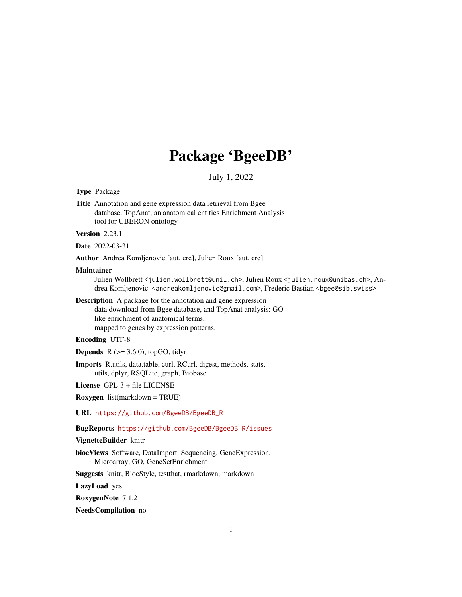# Package 'BgeeDB'

July 1, 2022

# Type Package

Title Annotation and gene expression data retrieval from Bgee database. TopAnat, an anatomical entities Enrichment Analysis tool for UBERON ontology

# Version 2.23.1

Date 2022-03-31

Author Andrea Komljenovic [aut, cre], Julien Roux [aut, cre]

#### Maintainer

Julien Wollbrett <julien.wollbrett@unil.ch>, Julien Roux <julien.roux@unibas.ch>, Andrea Komljenovic <andreakomljenovic@gmail.com>, Frederic Bastian <br/>bgee@sib.swiss>

Description A package for the annotation and gene expression data download from Bgee database, and TopAnat analysis: GOlike enrichment of anatomical terms, mapped to genes by expression patterns.

# Encoding UTF-8

**Depends**  $R$  ( $>= 3.6.0$ ), topGO, tidyr

Imports R.utils, data.table, curl, RCurl, digest, methods, stats, utils, dplyr, RSQLite, graph, Biobase

License GPL-3 + file LICENSE

Roxygen list(markdown = TRUE)

URL [https://github.com/BgeeDB/BgeeDB\\_R](https://github.com/BgeeDB/BgeeDB_R)

# BugReports [https://github.com/BgeeDB/BgeeDB\\_R/issues](https://github.com/BgeeDB/BgeeDB_R/issues)

# VignetteBuilder knitr

biocViews Software, DataImport, Sequencing, GeneExpression, Microarray, GO, GeneSetEnrichment

Suggests knitr, BiocStyle, testthat, rmarkdown, markdown

LazyLoad yes

RoxygenNote 7.1.2

NeedsCompilation no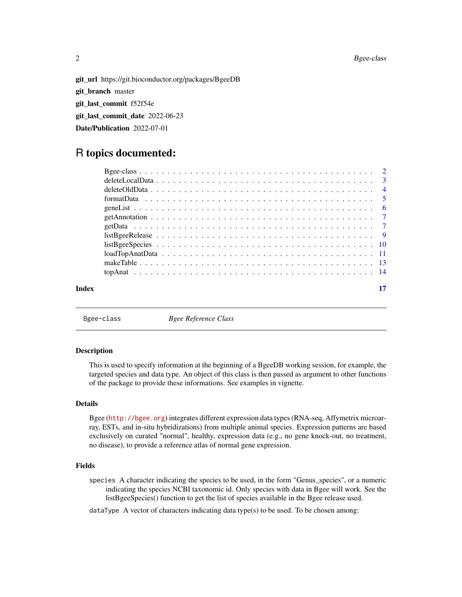git\_url https://git.bioconductor.org/packages/BgeeDB git\_branch master git\_last\_commit f52f54e git\_last\_commit\_date 2022-06-23 Date/Publication 2022-07-01

# R topics documented:

| Index |  |
|-------|--|

Bgee-class *Bgee Reference Class*

#### Description

This is used to specify information at the beginning of a BgeeDB working session, for example, the targeted species and data type. An object of this class is then passed as argument to other functions of the package to provide these informations. See examples in vignette.

# Details

Bgee (<http://bgee.org>) integrates different expression data types (RNA-seq, Affymetrix microarray, ESTs, and in-situ hybridizations) from multiple animal species. Expression patterns are based exclusively on curated "normal", healthy, expression data (e.g., no gene knock-out, no treatment, no disease), to provide a reference atlas of normal gene expression.

#### Fields

species A character indicating the species to be used, in the form "Genus\_species", or a numeric indicating the species NCBI taxonomic id. Only species with data in Bgee will work. See the listBgeeSpecies() function to get the list of species available in the Bgee release used.

 $dataType A vector of characters indicating data type(s) to be used. To be chosen among:$ 

<span id="page-1-0"></span>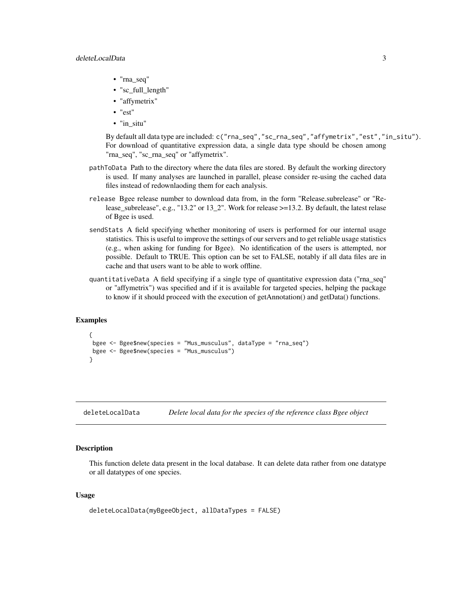- <span id="page-2-0"></span>• "rna\_seq"
- "sc\_full\_length"
- "affymetrix"
- "est"
- "in\_situ"

By default all data type are included: c("rna\_seq","sc\_rna\_seq","affymetrix","est","in\_situ"). For download of quantitative expression data, a single data type should be chosen among "rna\_seq", "sc\_rna\_seq" or "affymetrix".

- pathToData Path to the directory where the data files are stored. By default the working directory is used. If many analyses are launched in parallel, please consider re-using the cached data files instead of redownlaoding them for each analysis.
- release Bgee release number to download data from, in the form "Release.subrelease" or "Release\_subrelease", e.g., "13.2" or 13\_2". Work for release >=13.2. By default, the latest relase of Bgee is used.
- sendStats A field specifying whether monitoring of users is performed for our internal usage statistics. This is useful to improve the settings of our servers and to get reliable usage statistics (e.g., when asking for funding for Bgee). No identification of the users is attempted, nor possible. Default to TRUE. This option can be set to FALSE, notably if all data files are in cache and that users want to be able to work offline.
- quantitativeData A field specifying if a single type of quantitative expression data ("rna\_seq" or "affymetrix") was specified and if it is available for targeted species, helping the package to know if it should proceed with the execution of getAnnotation() and getData() functions.

# Examples

```
{
bgee <- Bgee$new(species = "Mus_musculus", dataType = "rna_seq")
bgee <- Bgee$new(species = "Mus_musculus")
}
```
deleteLocalData *Delete local data for the species of the reference class Bgee object*

# **Description**

This function delete data present in the local database. It can delete data rather from one datatype or all datatypes of one species.

# Usage

```
deleteLocalData(myBgeeObject, allDataTypes = FALSE)
```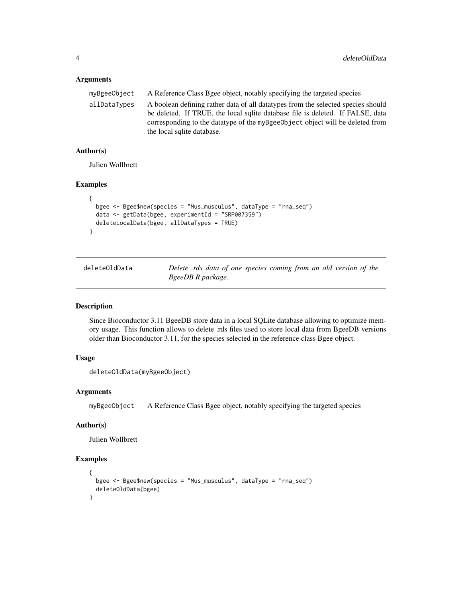# Arguments

| myBgeeObject | A Reference Class Bgee object, notably specifying the targeted species                                                                                              |
|--------------|---------------------------------------------------------------------------------------------------------------------------------------------------------------------|
| allDataTypes | A boolean defining rather data of all data types from the selected species should<br>be deleted. If TRUE, the local sqlite database file is deleted. If FALSE, data |
|              | corresponding to the data type of the myBgeeObject object will be deleted from<br>the local sqlite database.                                                        |
|              |                                                                                                                                                                     |

### Author(s)

Julien Wollbrett

#### Examples

```
{
 bgee <- Bgee$new(species = "Mus_musculus", dataType = "rna_seq")
 data <- getData(bgee, experimentId = "SRP007359")
 deleteLocalData(bgee, allDataTypes = TRUE)
}
```
deleteOldData *Delete .rds data of one species coming from an old version of the BgeeDB R package.*

# Description

Since Bioconductor 3.11 BgeeDB store data in a local SQLite database allowing to optimize memory usage. This function allows to delete .rds files used to store local data from BgeeDB versions older than Bioconductor 3.11, for the species selected in the reference class Bgee object.

# Usage

```
deleteOldData(myBgeeObject)
```
# Arguments

myBgeeObject A Reference Class Bgee object, notably specifying the targeted species

#### Author(s)

Julien Wollbrett

#### Examples

```
{
 bgee <- Bgee$new(species = "Mus_musculus", dataType = "rna_seq")
 deleteOldData(bgee)
}
```
<span id="page-3-0"></span>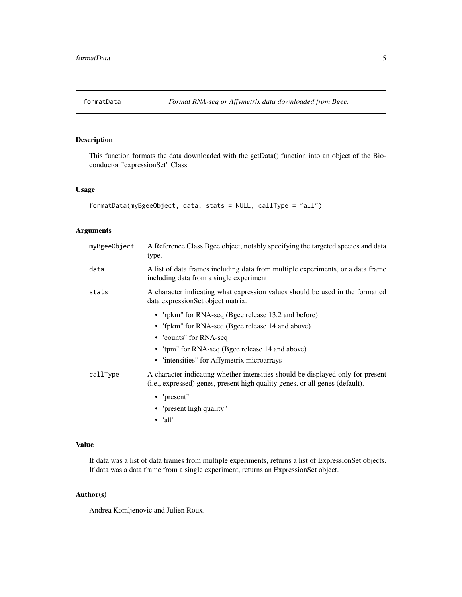<span id="page-4-0"></span>

# Description

This function formats the data downloaded with the getData() function into an object of the Bioconductor "expressionSet" Class.

# Usage

```
formatData(myBgeeObject, data, stats = NULL, callType = "all")
```
# Arguments

| myBgeeObject | A Reference Class Bgee object, notably specifying the targeted species and data<br>type.                                                                                                                                           |
|--------------|------------------------------------------------------------------------------------------------------------------------------------------------------------------------------------------------------------------------------------|
| data         | A list of data frames including data from multiple experiments, or a data frame<br>including data from a single experiment.                                                                                                        |
| stats        | A character indicating what expression values should be used in the formatted<br>data expressionSet object matrix.                                                                                                                 |
|              | • "rpkm" for RNA-seq (Bgee release 13.2 and before)<br>• "fpkm" for RNA-seq (Bgee release 14 and above)<br>• "counts" for RNA-seq<br>• "tpm" for RNA-seq (Bgee release 14 and above)<br>• "intensities" for Affymetrix microarrays |
| callType     | A character indicating whether intensities should be displayed only for present<br>(i.e., expressed) genes, present high quality genes, or all genes (default).                                                                    |
|              | • "present"<br>• "present high quality"                                                                                                                                                                                            |

• "all"

# Value

If data was a list of data frames from multiple experiments, returns a list of ExpressionSet objects. If data was a data frame from a single experiment, returns an ExpressionSet object.

# Author(s)

Andrea Komljenovic and Julien Roux.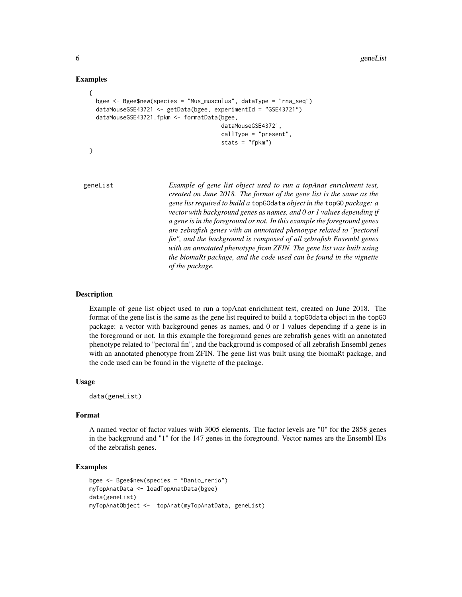# Examples

```
{
 bgee <- Bgee$new(species = "Mus_musculus", dataType = "rna_seq")
 dataMouseGSE43721 <- getData(bgee, experimentId = "GSE43721")
 dataMouseGSE43721.fpkm <- formatData(bgee,
                                       dataMouseGSE43721,
                                       callType = "present",
                                       stats = "fpkm")
```
}

geneList *Example of gene list object used to run a topAnat enrichment test, created on June 2018. The format of the gene list is the same as the gene list required to build a* topGOdata *object in the* topGO *package: a vector with background genes as names, and 0 or 1 values depending if a gene is in the foreground or not. In this example the foreground genes are zebrafish genes with an annotated phenotype related to "pectoral fin", and the background is composed of all zebrafish Ensembl genes with an annotated phenotype from ZFIN. The gene list was built using the biomaRt package, and the code used can be found in the vignette of the package.*

# Description

Example of gene list object used to run a topAnat enrichment test, created on June 2018. The format of the gene list is the same as the gene list required to build a topGOdata object in the topGO package: a vector with background genes as names, and 0 or 1 values depending if a gene is in the foreground or not. In this example the foreground genes are zebrafish genes with an annotated phenotype related to "pectoral fin", and the background is composed of all zebrafish Ensembl genes with an annotated phenotype from ZFIN. The gene list was built using the biomaRt package, and the code used can be found in the vignette of the package.

#### Usage

data(geneList)

# Format

A named vector of factor values with 3005 elements. The factor levels are "0" for the 2858 genes in the background and "1" for the 147 genes in the foreground. Vector names are the Ensembl IDs of the zebrafish genes.

# Examples

```
bgee <- Bgee$new(species = "Danio_rerio")
myTopAnatData <- loadTopAnatData(bgee)
data(geneList)
myTopAnatObject <- topAnat(myTopAnatData, geneList)
```
<span id="page-5-0"></span>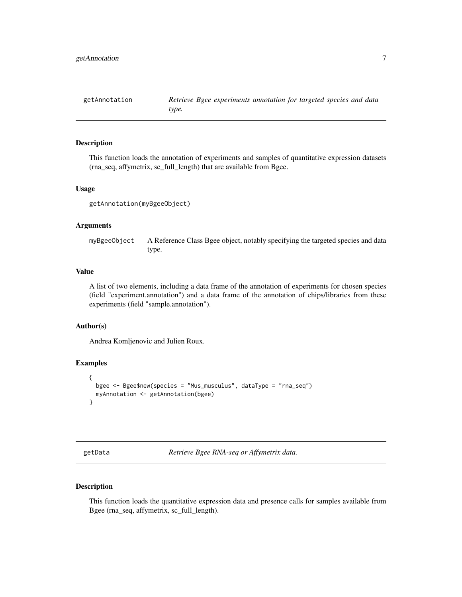<span id="page-6-0"></span>getAnnotation *Retrieve Bgee experiments annotation for targeted species and data type.*

# Description

This function loads the annotation of experiments and samples of quantitative expression datasets (rna\_seq, affymetrix, sc\_full\_length) that are available from Bgee.

#### Usage

```
getAnnotation(myBgeeObject)
```
#### Arguments

myBgeeObject A Reference Class Bgee object, notably specifying the targeted species and data type.

# Value

A list of two elements, including a data frame of the annotation of experiments for chosen species (field "experiment.annotation") and a data frame of the annotation of chips/libraries from these experiments (field "sample.annotation").

#### Author(s)

Andrea Komljenovic and Julien Roux.

# Examples

```
{
 bgee <- Bgee$new(species = "Mus_musculus", dataType = "rna_seq")
 myAnnotation <- getAnnotation(bgee)
}
```
getData *Retrieve Bgee RNA-seq or Affymetrix data.*

### Description

This function loads the quantitative expression data and presence calls for samples available from Bgee (rna\_seq, affymetrix, sc\_full\_length).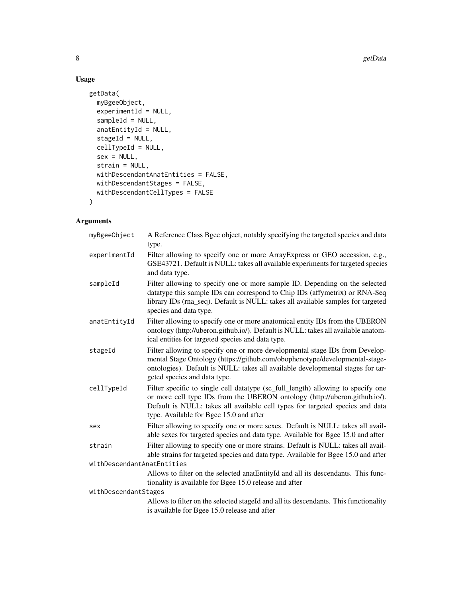# Usage

```
getData(
  myBgeeObject,
  experimentId = NULL,
  sampleId = NULL,
  anatEntityId = NULL,
  stageId = NULL,
  cellTypeId = NULL,
  sex = NULL,strain = NULL,
  withDescendantAnatEntities = FALSE,
  withDescendantStages = FALSE,
  withDescendantCellTypes = FALSE
\mathcal{L}
```
# Arguments

| myBgeeObject               | A Reference Class Bgee object, notably specifying the targeted species and data<br>type.                                                                                                                                                                                                   |  |
|----------------------------|--------------------------------------------------------------------------------------------------------------------------------------------------------------------------------------------------------------------------------------------------------------------------------------------|--|
| experimentId               | Filter allowing to specify one or more ArrayExpress or GEO accession, e.g.,<br>GSE43721. Default is NULL: takes all available experiments for targeted species<br>and data type.                                                                                                           |  |
| sampleId                   | Filter allowing to specify one or more sample ID. Depending on the selected<br>datatype this sample IDs can correspond to Chip IDs (affymetrix) or RNA-Seq<br>library IDs (rna_seq). Default is NULL: takes all available samples for targeted<br>species and data type.                   |  |
| anatEntityId               | Filter allowing to specify one or more anatomical entity IDs from the UBERON<br>ontology (http://uberon.github.io/). Default is NULL: takes all available anatom-<br>ical entities for targeted species and data type.                                                                     |  |
| stageId                    | Filter allowing to specify one or more developmental stage IDs from Develop-<br>mental Stage Ontology (https://github.com/obophenotype/developmental-stage-<br>ontologies). Default is NULL: takes all available developmental stages for tar-<br>geted species and data type.             |  |
| cellTypeId                 | Filter specific to single cell datatype (sc_full_length) allowing to specify one<br>or more cell type IDs from the UBERON ontology (http://uberon.github.io/).<br>Default is NULL: takes all available cell types for targeted species and data<br>type. Available for Bgee 15.0 and after |  |
| sex                        | Filter allowing to specify one or more sexes. Default is NULL: takes all avail-<br>able sexes for targeted species and data type. Available for Bgee 15.0 and after                                                                                                                        |  |
| strain                     | Filter allowing to specify one or more strains. Default is NULL: takes all avail-<br>able strains for targeted species and data type. Available for Bgee 15.0 and after                                                                                                                    |  |
| withDescendantAnatEntities |                                                                                                                                                                                                                                                                                            |  |
|                            | Allows to filter on the selected anatEntityId and all its descendants. This func-<br>tionality is available for Bgee 15.0 release and after                                                                                                                                                |  |
| withDescendantStages       |                                                                                                                                                                                                                                                                                            |  |
|                            | Allows to filter on the selected stageId and all its descendants. This functionality<br>is available for Bgee 15.0 release and after                                                                                                                                                       |  |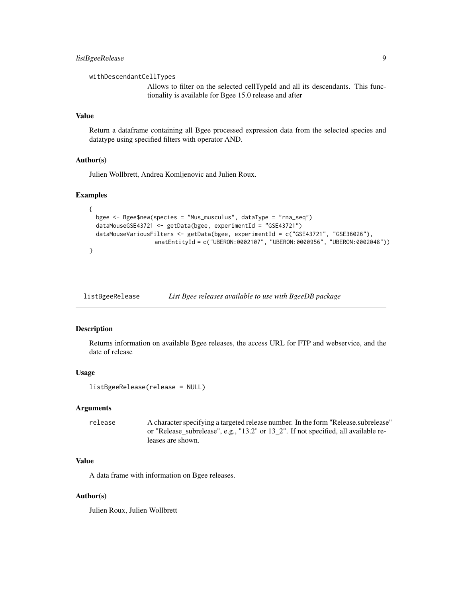<span id="page-8-0"></span>withDescendantCellTypes

Allows to filter on the selected cellTypeId and all its descendants. This functionality is available for Bgee 15.0 release and after

# Value

Return a dataframe containing all Bgee processed expression data from the selected species and datatype using specified filters with operator AND.

#### Author(s)

Julien Wollbrett, Andrea Komljenovic and Julien Roux.

# Examples

```
{
 bgee <- Bgee$new(species = "Mus_musculus", dataType = "rna_seq")
 dataMouseGSE43721 <- getData(bgee, experimentId = "GSE43721")
 dataMouseVariousFilters <- getData(bgee, experimentId = c("GSE43721", "GSE36026"),
                   anatEntityId = c("UBERON:0002107", "UBERON:0000956", "UBERON:0002048"))
}
```
listBgeeRelease *List Bgee releases available to use with BgeeDB package*

#### Description

Returns information on available Bgee releases, the access URL for FTP and webservice, and the date of release

# Usage

```
listBgeeRelease(release = NULL)
```
#### **Arguments**

release A character specifying a targeted release number. In the form "Release.subrelease" or "Release\_subrelease", e.g., "13.2" or 13\_2". If not specified, all available releases are shown.

#### Value

A data frame with information on Bgee releases.

# Author(s)

Julien Roux, Julien Wollbrett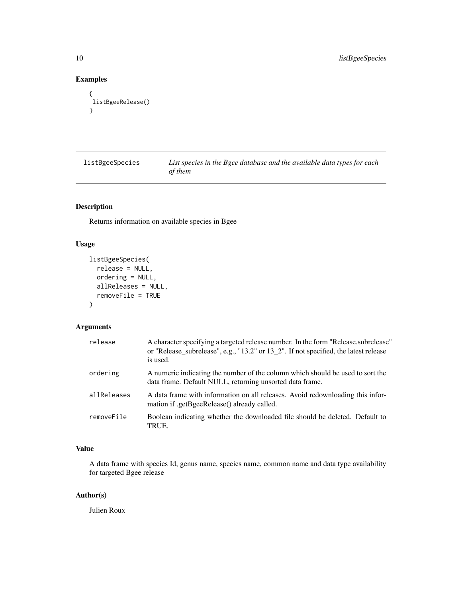# Examples

```
{
listBgeeRelease()
}
```
listBgeeSpecies *List species in the Bgee database and the available data types for each of them*

# Description

Returns information on available species in Bgee

# Usage

```
listBgeeSpecies(
  release = NULL,
 ordering = NULL,
 allReleases = NULL,
  removeFile = TRUE
)
```
# Arguments

| release     | A character specifying a targeted release number. In the form "Release subrelease"<br>or "Release_subrelease", e.g., "13.2" or 13_2". If not specified, the latest release<br>is used. |
|-------------|----------------------------------------------------------------------------------------------------------------------------------------------------------------------------------------|
| ordering    | A numeric indicating the number of the column which should be used to sort the<br>data frame. Default NULL, returning unsorted data frame.                                             |
| allReleases | A data frame with information on all releases. Avoid redownloading this infor-<br>mation if .getBgeeRelease() already called.                                                          |
| removeFile  | Boolean indicating whether the downloaded file should be deleted. Default to<br>TRUE.                                                                                                  |

# Value

A data frame with species Id, genus name, species name, common name and data type availability for targeted Bgee release

# Author(s)

Julien Roux

<span id="page-9-0"></span>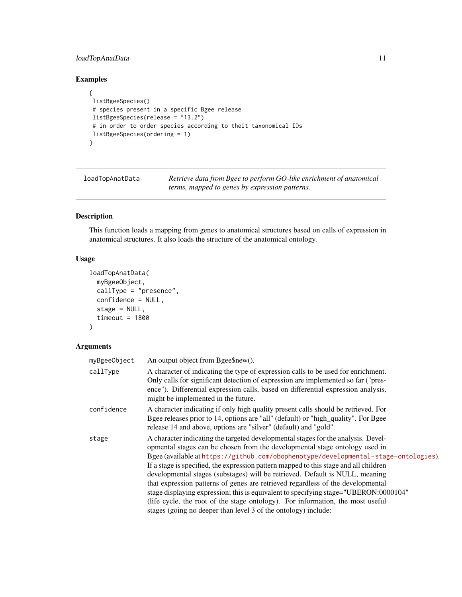# <span id="page-10-0"></span>loadTopAnatData 11

# Examples

```
{
listBgeeSpecies()
# species present in a specific Bgee release
listBgeeSpecies(release = "13.2")
# in order to order species according to theit taxonomical IDs
listBgeeSpecies(ordering = 1)
}
```
loadTopAnatData *Retrieve data from Bgee to perform GO-like enrichment of anatomical terms, mapped to genes by expression patterns.*

# Description

This function loads a mapping from genes to anatomical structures based on calls of expression in anatomical structures. It also loads the structure of the anatomical ontology.

# Usage

```
loadTopAnatData(
 myBgeeObject,
  callType = "presence",
  confidence = NULL,
  stage = NULL,
  timeout = 1800)
```
# Arguments

| myBgeeObject | An output object from Bgee\$new().                                                                                                                                                                                                                                                                                                                                                                                                                                                                                                                                                                                                                                                                                                                              |
|--------------|-----------------------------------------------------------------------------------------------------------------------------------------------------------------------------------------------------------------------------------------------------------------------------------------------------------------------------------------------------------------------------------------------------------------------------------------------------------------------------------------------------------------------------------------------------------------------------------------------------------------------------------------------------------------------------------------------------------------------------------------------------------------|
| callType     | A character of indicating the type of expression calls to be used for enrichment.<br>Only calls for significant detection of expression are implemented so far ("pres-<br>ence"). Differential expression calls, based on differential expression analysis,<br>might be implemented in the future.                                                                                                                                                                                                                                                                                                                                                                                                                                                              |
| confidence   | A character indicating if only high quality present calls should be retrieved. For<br>Bgee releases prior to 14, options are "all" (default) or "high_quality". For Bgee<br>release 14 and above, options are "silver" (default) and "gold".                                                                                                                                                                                                                                                                                                                                                                                                                                                                                                                    |
| stage        | A character indicating the targeted developmental stages for the analysis. Devel-<br>opmental stages can be chosen from the developmental stage ontology used in<br>Bgee (available at https://github.com/obophenotype/developmental-stage-ontologies).<br>If a stage is specified, the expression pattern mapped to this stage and all children<br>developmental stages (substages) will be retrieved. Default is NULL, meaning<br>that expression patterns of genes are retrieved regardless of the developmental<br>stage displaying expression; this is equivalent to specifying stage="UBERON:0000104"<br>(life cycle, the root of the stage ontology). For information, the most useful<br>stages (going no deeper than level 3 of the ontology) include: |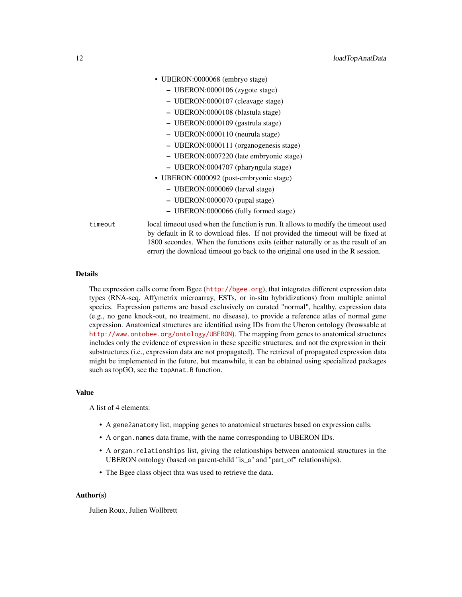|         | • UBERON:0000068 (embryo stage)                                                                                                                                         |
|---------|-------------------------------------------------------------------------------------------------------------------------------------------------------------------------|
|         | $-$ UBERON:0000106 (zygote stage)                                                                                                                                       |
|         | - UBERON:0000107 (cleavage stage)                                                                                                                                       |
|         | - UBERON:0000108 (blastula stage)                                                                                                                                       |
|         | - UBERON:0000109 (gastrula stage)                                                                                                                                       |
|         | - UBERON:0000110 (neurula stage)                                                                                                                                        |
|         | - UBERON:0000111 (organogenesis stage)                                                                                                                                  |
|         | - UBERON:0007220 (late embryonic stage)                                                                                                                                 |
|         | - UBERON:0004707 (pharyngula stage)                                                                                                                                     |
|         | • UBERON:0000092 (post-embryonic stage)                                                                                                                                 |
|         | - UBERON:0000069 (larval stage)                                                                                                                                         |
|         | - UBERON:0000070 (pupal stage)                                                                                                                                          |
|         | - UBERON:0000066 (fully formed stage)                                                                                                                                   |
| timeout | local time out used when the function is run. It allows to modify the time out used<br>by default in R to download files. If not provided the time out will be fixed at |

# Details

The expression calls come from Bgee (<http://bgee.org>), that integrates different expression data types (RNA-seq, Affymetrix microarray, ESTs, or in-situ hybridizations) from multiple animal species. Expression patterns are based exclusively on curated "normal", healthy, expression data (e.g., no gene knock-out, no treatment, no disease), to provide a reference atlas of normal gene expression. Anatomical structures are identified using IDs from the Uberon ontology (browsable at <http://www.ontobee.org/ontology/UBERON>). The mapping from genes to anatomical structures includes only the evidence of expression in these specific structures, and not the expression in their substructures (i.e., expression data are not propagated). The retrieval of propagated expression data might be implemented in the future, but meanwhile, it can be obtained using specialized packages such as topGO, see the topAnat.R function.

1800 secondes. When the functions exits (either naturally or as the result of an error) the download timeout go back to the original one used in the R session.

#### Value

A list of 4 elements:

- A gene2anatomy list, mapping genes to anatomical structures based on expression calls.
- A organ.names data frame, with the name corresponding to UBERON IDs.
- A organ.relationships list, giving the relationships between anatomical structures in the UBERON ontology (based on parent-child "is\_a" and "part\_of" relationships).
- The Bgee class object thta was used to retrieve the data.

### Author(s)

Julien Roux, Julien Wollbrett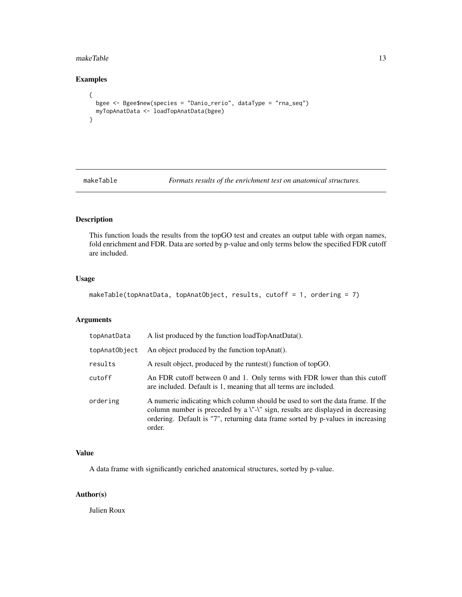#### <span id="page-12-0"></span>makeTable 13

# Examples

```
{
  bgee <- Bgee$new(species = "Danio_rerio", dataType = "rna_seq")
  myTopAnatData <- loadTopAnatData(bgee)
}
```
makeTable *Formats results of the enrichment test on anatomical structures.*

# Description

This function loads the results from the topGO test and creates an output table with organ names, fold enrichment and FDR. Data are sorted by p-value and only terms below the specified FDR cutoff are included.

# Usage

```
makeTable(topAnatData, topAnatObject, results, cutoff = 1, ordering = 7)
```
# Arguments

| topAnatData   | A list produced by the function loadTopAnatData().                                                                                                                                                                                                             |
|---------------|----------------------------------------------------------------------------------------------------------------------------------------------------------------------------------------------------------------------------------------------------------------|
| topAnatObject | An object produced by the function topAnat().                                                                                                                                                                                                                  |
| results       | A result object, produced by the runtest () function of topGO.                                                                                                                                                                                                 |
| cutoff        | An FDR cutoff between 0 and 1. Only terms with FDR lower than this cutoff<br>are included. Default is 1, meaning that all terms are included.                                                                                                                  |
| ordering      | A numeric indicating which column should be used to sort the data frame. If the<br>column number is preceded by a \"-\" sign, results are displayed in decreasing<br>ordering. Default is "7", returning data frame sorted by p-values in increasing<br>order. |

# Value

A data frame with significantly enriched anatomical structures, sorted by p-value.

# Author(s)

Julien Roux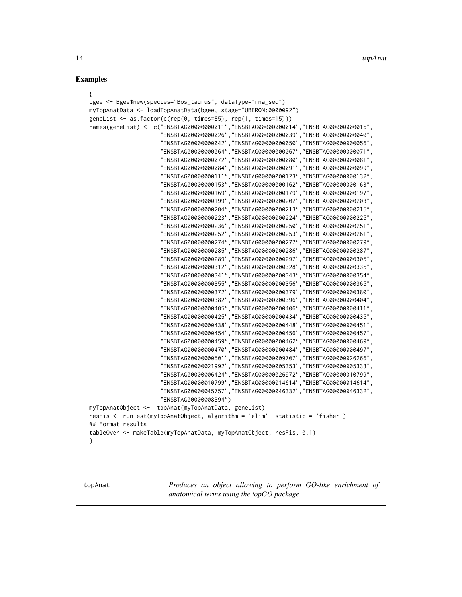# <span id="page-13-0"></span>Examples

| €                                                                                 |
|-----------------------------------------------------------------------------------|
| bgee <- Bgee\$new(species="Bos_taurus", dataType="rna_seq")                       |
| myTopAnatData <- loadTopAnatData(bgee, stage="UBERON:0000092")                    |
| geneList <- as.factor( $c(rep(\theta, times=85), rep(1, times=15)))$              |
| names(geneList) <- c("ENSBTAG0000000011","ENSBTAG0000000014","ENSBTAG0000000016", |
| "ENSBTAG00000000026", "ENSBTAG00000000039", "ENSBTAG0000000040"                   |
| "ENSBTAG0000000042", "ENSBTAG00000000050", "ENSBTAG0000000056"                    |
| "ENSBTAG00000000064", "ENSBTAG0000000067", "ENSBTAG0000000071",                   |
| "ENSBTAG00000000072", "ENSBTAG00000000080", "ENSBTAG0000000081",                  |
| "ENSBTAG00000000084", "ENSBTAG00000000091", "ENSBTAG0000000099"                   |
| "ENSBTAG00000000111", "ENSBTAG00000000123", "ENSBTAG0000000132",                  |
| "ENSBTAG00000000153", "ENSBTAG00000000162", "ENSBTAG00000000163",                 |
| "ENSBTAG00000000169", "ENSBTAG00000000179", "ENSBTAG0000000197"                   |
| "ENSBTAG00000000199", "ENSBTAG00000000202", "ENSBTAG00000000203"                  |
| "ENSBTAG00000000204", "ENSBTAG00000000213", "ENSBTAG0000000215",                  |
| "ENSBTAG00000000223", "ENSBTAG00000000224", "ENSBTAG0000000225",                  |
| "ENSBTAG00000000236", "ENSBTAG00000000250", "ENSBTAG0000000251"                   |
| "ENSBTAG00000000252", "ENSBTAG00000000253", "ENSBTAG0000000261"                   |
| "ENSBTAG00000000274", "ENSBTAG00000000277", "ENSBTAG00000000279",                 |
| "ENSBTAG00000000285", "ENSBTAG0000000286", "ENSBTAG0000000287",                   |
| "ENSBTAG00000000289", "ENSBTAG00000000297", "ENSBTAG00000000305"                  |
| "ENSBTAG00000000312", "ENSBTAG00000000328", "ENSBTAG0000000335",                  |
| "ENSBTAG00000000341", "ENSBTAG0000000343", "ENSBTAG0000000354",                   |
| "ENSBTAG00000000355", "ENSBTAG00000000356", "ENSBTAG00000000365"                  |
| "ENSBTAG00000000372", "ENSBTAG00000000379", "ENSBTAG0000000380"                   |
| "ENSBTAG00000000382", "ENSBTAG0000000396", "ENSBTAG0000000404",                   |
| "ENSBTAG00000000405", "ENSBTAG00000000406", "ENSBTAG0000000411",                  |
| "ENSBTAG0000000425", "ENSBTAG0000000434", "ENSBTAG0000000435"                     |
| "ENSBTAG00000000438", "ENSBTAG00000000448", "ENSBTAG0000000451"                   |
| "ENSBTAG00000000454", "ENSBTAG0000000456", "ENSBTAG0000000457",                   |
| "ENSBTAG00000000459", "ENSBTAG00000000462", "ENSBTAG0000000469",                  |
| "ENSBTAG00000000470", "ENSBTAG00000000484", "ENSBTAG0000000497"                   |
| "ENSBTAG00000000501", "ENSBTAG0000009707", "ENSBTAG0000026266",                   |
| "ENSBTAG00000021992", "ENSBTAG0000005353", "ENSBTAG0000005333",                   |
| "ENSBTAG00000006424", "ENSBTAG00000026972", "ENSBTAG00000010799"                  |
| "ENSBTAG00000010799", "ENSBTAG00000014614", "ENSBTAG00000014614"                  |
| "ENSBTAG00000045757", "ENSBTAG00000046332", "ENSBTAG00000046332",                 |
| "ENSBTAG00000008394")                                                             |
| myTopAnatObject <-<br>topAnat(myTopAnatData, geneList)                            |
| resFis <- runTest(myTopAnatObject, algorithm = 'elim', statistic = 'fisher')      |
| ## Format results                                                                 |
| tableOver <- makeTable(myTopAnatData, myTopAnatObject, resFis, 0.1)               |
| ł                                                                                 |

topAnat *Produces an object allowing to perform GO-like enrichment of anatomical terms using the topGO package*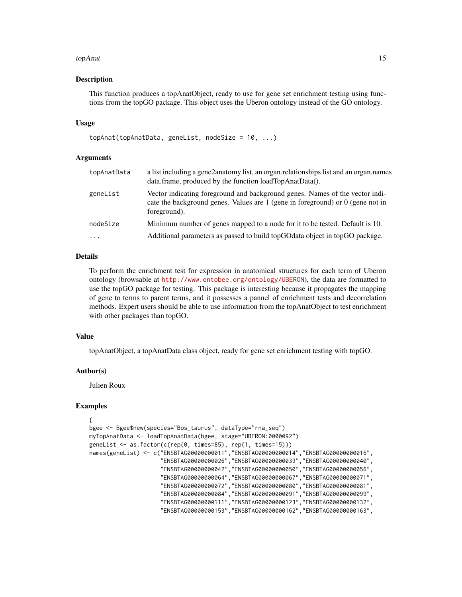#### topAnat 15

#### Description

This function produces a topAnatObject, ready to use for gene set enrichment testing using functions from the topGO package. This object uses the Uberon ontology instead of the GO ontology.

### Usage

```
topAnat(topAnatData, geneList, nodeSize = 10, ...)
```
# Arguments

| topAnatData | a list including a gene2anatomy list, an organ.relationships list and an organ.names<br>data.frame, produced by the function loadTopAnatData().                                    |
|-------------|------------------------------------------------------------------------------------------------------------------------------------------------------------------------------------|
| geneList    | Vector indicating foreground and background genes. Names of the vector indi-<br>cate the background genes. Values are $1$ (gene in foreground) or $0$ (gene not in<br>foreground). |
| nodeSize    | Minimum number of genes mapped to a node for it to be tested. Default is 10.                                                                                                       |
| $\cdots$    | Additional parameters as passed to build topGOdata object in topGO package.                                                                                                        |
|             |                                                                                                                                                                                    |

# Details

To perform the enrichment test for expression in anatomical structures for each term of Uberon ontology (browsable at <http://www.ontobee.org/ontology/UBERON>), the data are formatted to use the topGO package for testing. This package is interesting because it propagates the mapping of gene to terms to parent terms, and it possesses a pannel of enrichment tests and decorrelation methods. Expert users should be able to use information from the topAnatObject to test enrichment with other packages than topGO.

#### Value

topAnatObject, a topAnatData class object, ready for gene set enrichment testing with topGO.

#### Author(s)

Julien Roux

#### Examples

```
{
bgee <- Bgee$new(species="Bos_taurus", dataType="rna_seq")
myTopAnatData <- loadTopAnatData(bgee, stage="UBERON:0000092")
geneList <- as.factor(c(rep(0, times=85), rep(1, times=15)))
names(geneList) <- c("ENSBTAG00000000011","ENSBTAG00000000014","ENSBTAG00000000016",
                     "ENSBTAG00000000026","ENSBTAG00000000039","ENSBTAG00000000040",
                     "ENSBTAG00000000042","ENSBTAG00000000050","ENSBTAG00000000056",
                     "ENSBTAG00000000064","ENSBTAG00000000067","ENSBTAG00000000071",
                     "ENSBTAG00000000072","ENSBTAG00000000080","ENSBTAG00000000081",
                     "ENSBTAG00000000084","ENSBTAG00000000091","ENSBTAG00000000099",
                     "ENSBTAG00000000111","ENSBTAG00000000123","ENSBTAG00000000132",
                     "ENSBTAG00000000153","ENSBTAG00000000162","ENSBTAG00000000163",
```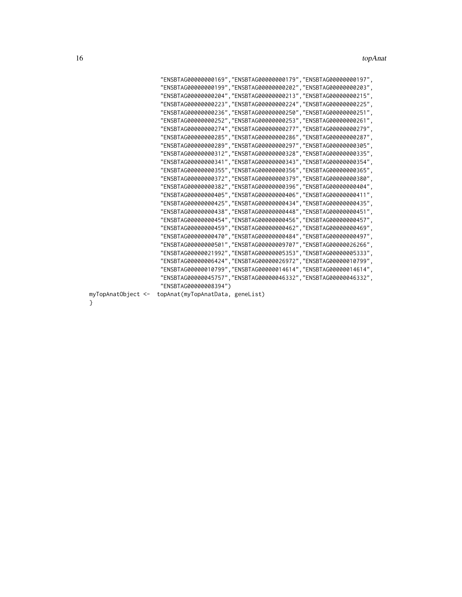|                    | "ENSBTAG00000000169","ENSBTAG00000000179","ENSBTAG00000000197",        |
|--------------------|------------------------------------------------------------------------|
|                    | "ENSBTAG00000000199","ENSBTAG00000000202","ENSBTAG00000000203",        |
|                    | "ENSBTAG00000000204","ENSBTAG00000000213","ENSBTAG0000000215",         |
|                    | "ENSBTAG00000000223", "ENSBTAG00000000224", "ENSBTAG0000000225",       |
|                    | . "ENSBTAG00000000236", "ENSBTAG00000000250", "ENSBTAG00000000251",    |
|                    | "ENSBTAG00000000252","ENSBTAG00000000253","ENSBTAG00000000261",        |
|                    | "ENSBTAG00000000274","ENSBTAG00000000277","ENSBTAG00000000279",        |
|                    | "ENSBTAG00000000285","ENSBTAG00000000286","ENSBTAG00000000287",        |
|                    | "ENSBTAG00000000289","ENSBTAG00000000297","ENSBTAG0000000305",         |
|                    | "ENSBTAG00000000312","ENSBTAG00000000328","ENSBTAG00000000335",        |
|                    | "    "ENSBTAG00000000341", "ENSBTAG00000000343", "ENSBTAG00000000354", |
|                    | "ENSBTAG00000000355", "ENSBTAG0000000356", "ENSBTAG0000000365",        |
|                    | "ENSBTAG00000000372","ENSBTAG00000000379","ENSBTAG00000000380",        |
|                    | "    "ENSBTAG00000000382", "ENSBTAG00000000396", "ENSBTAG0000000404",  |
|                    | "ENSBTAG00000000405","ENSBTAG00000000406","ENSBTAG0000000411",         |
|                    | "ENSBTAG00000000425","ENSBTAG00000000434","ENSBTAG0000000435",         |
|                    | "ENSBTAG00000000438","ENSBTAG00000000448","ENSBTAG0000000451",         |
|                    | "ENSBTAG00000000454", "ENSBTAG00000000456", "ENSBTAG00000000457",      |
|                    | " ENSBTAG00000000459", "ENSBTAG00000000462", "ENSBTAG00000000469",     |
|                    | "ENSBTAG00000000470", "ENSBTAG0000000484", "ENSBTAG0000000497",        |
|                    | "ENSBTAG00000000501","ENSBTAG0000009707","ENSBTAG00000026266",         |
|                    | . "ENSBTAG00000021992", "ENSBTAG00000005353", "ENSBTAG00000005333"     |
|                    | "ENSBTAG00000006424","ENSBTAG00000026972","ENSBTAG00000010799",        |
|                    | "ENSBTAG00000010799","ENSBTAG00000014614","ENSBTAG00000014614",        |
|                    | . "ENSBTAG00000045757", "ENSBTAG00000046332", "ENSBTAG00000046332"     |
|                    | "ENSBTAG00000008394")                                                  |
| myTopAnatObject <- | topAnat(myTopAnatData, geneList)                                       |
|                    |                                                                        |

my<br>}